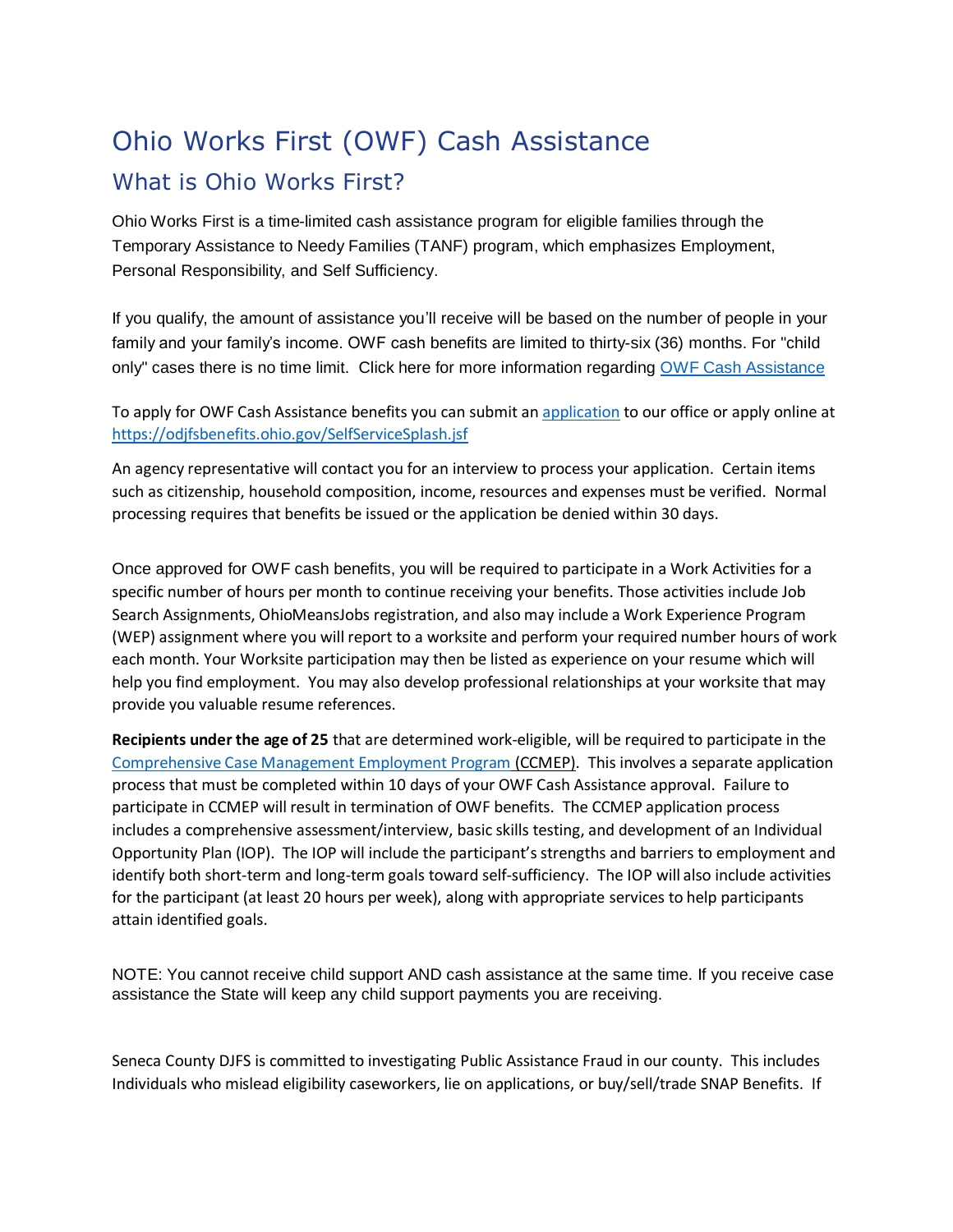## Ohio Works First (OWF) Cash Assistance What is Ohio Works First?

Ohio Works First is a time-limited cash assistance program for eligible families through the Temporary Assistance to Needy Families (TANF) program, which emphasizes Employment, Personal Responsibility, and Self Sufficiency.

If you qualify, the amount of assistance you'll receive will be based on the number of people in your family and your family's income. OWF cash benefits are limited to thirty-six (36) months. For "child only" cases there is no time limit. Click here for more information regarding [OWF Cash Assistance](https://jfs.ohio.gov/factsheets/owf.pdf)

To apply for OWF Cash Assistance benefits you can submit a[n application](http://www.odjfs.state.oh.us/forms/file.asp?id=1429&type=application/pdf) to our office or apply online at <https://odjfsbenefits.ohio.gov/SelfServiceSplash.jsf>

An agency representative will contact you for an interview to process your application. Certain items such as citizenship, household composition, income, resources and expenses must be verified. Normal processing requires that benefits be issued or the application be denied within 30 days.

Once approved for OWF cash benefits, you will be required to participate in a Work Activities for a specific number of hours per month to continue receiving your benefits. Those activities include Job Search Assignments, OhioMeansJobs registration, and also may include a Work Experience Program (WEP) assignment where you will report to a worksite and perform your required number hours of work each month. Your Worksite participation may then be listed as experience on your resume which will help you find employment. You may also develop professional relationships at your worksite that may provide you valuable resume references.

**Recipients under the age of 25** that are determined work-eligible, will be required to participate in the [Comprehensive Case Management Employment Program](http://djfs.co.seneca.oh.us/wp-content/uploads/2016/09/CCMEP.docx) (CCMEP). This involves a separate application process that must be completed within 10 days of your OWF Cash Assistance approval. Failure to participate in CCMEP will result in termination of OWF benefits. The CCMEP application process includes a comprehensive assessment/interview, basic skills testing, and development of an Individual Opportunity Plan (IOP). The IOP will include the participant's strengths and barriers to employment and identify both short-term and long-term goals toward self-sufficiency. The IOP will also include activities for the participant (at least 20 hours per week), along with appropriate services to help participants attain identified goals.

NOTE: You cannot receive child support AND cash assistance at the same time. If you receive case assistance the State will keep any child support payments you are receiving.

Seneca County DJFS is committed to investigating Public Assistance Fraud in our county. This includes Individuals who mislead eligibility caseworkers, lie on applications, or buy/sell/trade SNAP Benefits. If